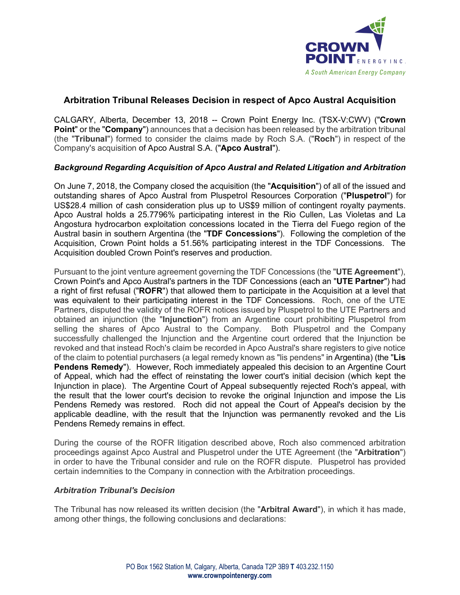

# **Arbitration Tribunal Releases Decision in respect of Apco Austral Acquisition**

CALGARY, Alberta, December 13, 2018 -- Crown Point Energy Inc. (TSX-V:CWV) ("**Crown Point**" or the "**Company**") announces that a decision has been released by the arbitration tribunal (the "**Tribunal**") formed to consider the claims made by Roch S.A. ("**Roch**") in respect of the Company's acquisition of Apco Austral S.A. ("**Apco Austral**").

## *Background Regarding Acquisition of Apco Austral and Related Litigation and Arbitration*

On June 7, 2018, the Company closed the acquisition (the "**Acquisition**") of all of the issued and outstanding shares of Apco Austral from Pluspetrol Resources Corporation ("**Pluspetrol**") for US\$28.4 million of cash consideration plus up to US\$9 million of contingent royalty payments. Apco Austral holds a 25.7796% participating interest in the Rio Cullen, Las Violetas and La Angostura hydrocarbon exploitation concessions located in the Tierra del Fuego region of the Austral basin in southern Argentina (the "**TDF Concessions**"). Following the completion of the Acquisition, Crown Point holds a 51.56% participating interest in the TDF Concessions. The Acquisition doubled Crown Point's reserves and production.

Pursuant to the joint venture agreement governing the TDF Concessions (the "**UTE Agreement**"), Crown Point's and Apco Austral's partners in the TDF Concessions (each an "**UTE Partner**") had a right of first refusal ("**ROFR**") that allowed them to participate in the Acquisition at a level that was equivalent to their participating interest in the TDF Concessions. Roch, one of the UTE Partners, disputed the validity of the ROFR notices issued by Pluspetrol to the UTE Partners and obtained an injunction (the "**Injunction**") from an Argentine court prohibiting Pluspetrol from selling the shares of Apco Austral to the Company. Both Pluspetrol and the Company successfully challenged the Injunction and the Argentine court ordered that the Injunction be revoked and that instead Roch's claim be recorded in Apco Austral's share registers to give notice of the claim to potential purchasers (a legal remedy known as "lis pendens" in Argentina) (the "**Lis Pendens Remedy**"). However, Roch immediately appealed this decision to an Argentine Court of Appeal, which had the effect of reinstating the lower court's initial decision (which kept the Injunction in place). The Argentine Court of Appeal subsequently rejected Roch's appeal, with the result that the lower court's decision to revoke the original Injunction and impose the Lis Pendens Remedy was restored. Roch did not appeal the Court of Appeal's decision by the applicable deadline, with the result that the Injunction was permanently revoked and the Lis Pendens Remedy remains in effect.

During the course of the ROFR litigation described above, Roch also commenced arbitration proceedings against Apco Austral and Pluspetrol under the UTE Agreement (the "**Arbitration**") in order to have the Tribunal consider and rule on the ROFR dispute. Pluspetrol has provided certain indemnities to the Company in connection with the Arbitration proceedings.

### *Arbitration Tribunal's Decision*

The Tribunal has now released its written decision (the "**Arbitral Award**"), in which it has made, among other things, the following conclusions and declarations: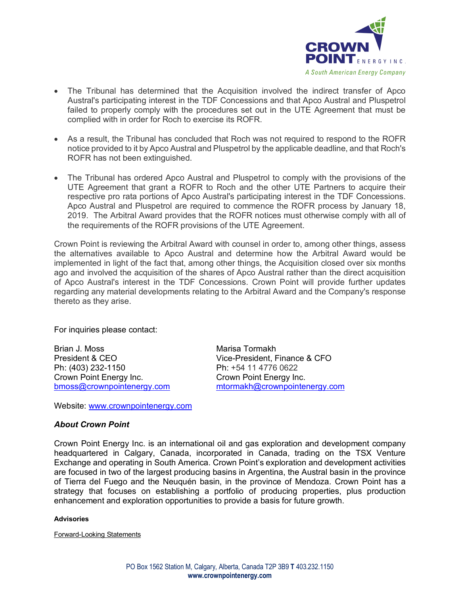

- The Tribunal has determined that the Acquisition involved the indirect transfer of Apco Austral's participating interest in the TDF Concessions and that Apco Austral and Pluspetrol failed to properly comply with the procedures set out in the UTE Agreement that must be complied with in order for Roch to exercise its ROFR.
- As a result, the Tribunal has concluded that Roch was not required to respond to the ROFR notice provided to it by Apco Austral and Pluspetrol by the applicable deadline, and that Roch's ROFR has not been extinguished.
- The Tribunal has ordered Apco Austral and Pluspetrol to comply with the provisions of the UTE Agreement that grant a ROFR to Roch and the other UTE Partners to acquire their respective pro rata portions of Apco Austral's participating interest in the TDF Concessions. Apco Austral and Pluspetrol are required to commence the ROFR process by January 18, 2019. The Arbitral Award provides that the ROFR notices must otherwise comply with all of the requirements of the ROFR provisions of the UTE Agreement.

Crown Point is reviewing the Arbitral Award with counsel in order to, among other things, assess the alternatives available to Apco Austral and determine how the Arbitral Award would be implemented in light of the fact that, among other things, the Acquisition closed over six months ago and involved the acquisition of the shares of Apco Austral rather than the direct acquisition of Apco Austral's interest in the TDF Concessions. Crown Point will provide further updates regarding any material developments relating to the Arbitral Award and the Company's response thereto as they arise.

For inquiries please contact:

Brian J. Moss **Marisa Tormakh** President & CEO Vice-President, Finance & CFO Ph: (403) 232-1150 Ph: +54 11 4776 0622 Crown Point Energy Inc. Crown Point Energy Inc.

bmoss@crownpointenergy.com mtormakh@crownpointenergy.com

Website: www.crownpointenergy.com

### *About Crown Point*

Crown Point Energy Inc. is an international oil and gas exploration and development company headquartered in Calgary, Canada, incorporated in Canada, trading on the TSX Venture Exchange and operating in South America. Crown Point's exploration and development activities are focused in two of the largest producing basins in Argentina, the Austral basin in the province of Tierra del Fuego and the Neuquén basin, in the province of Mendoza. Crown Point has a strategy that focuses on establishing a portfolio of producing properties, plus production enhancement and exploration opportunities to provide a basis for future growth.

#### **Advisories**

Forward-Looking Statements